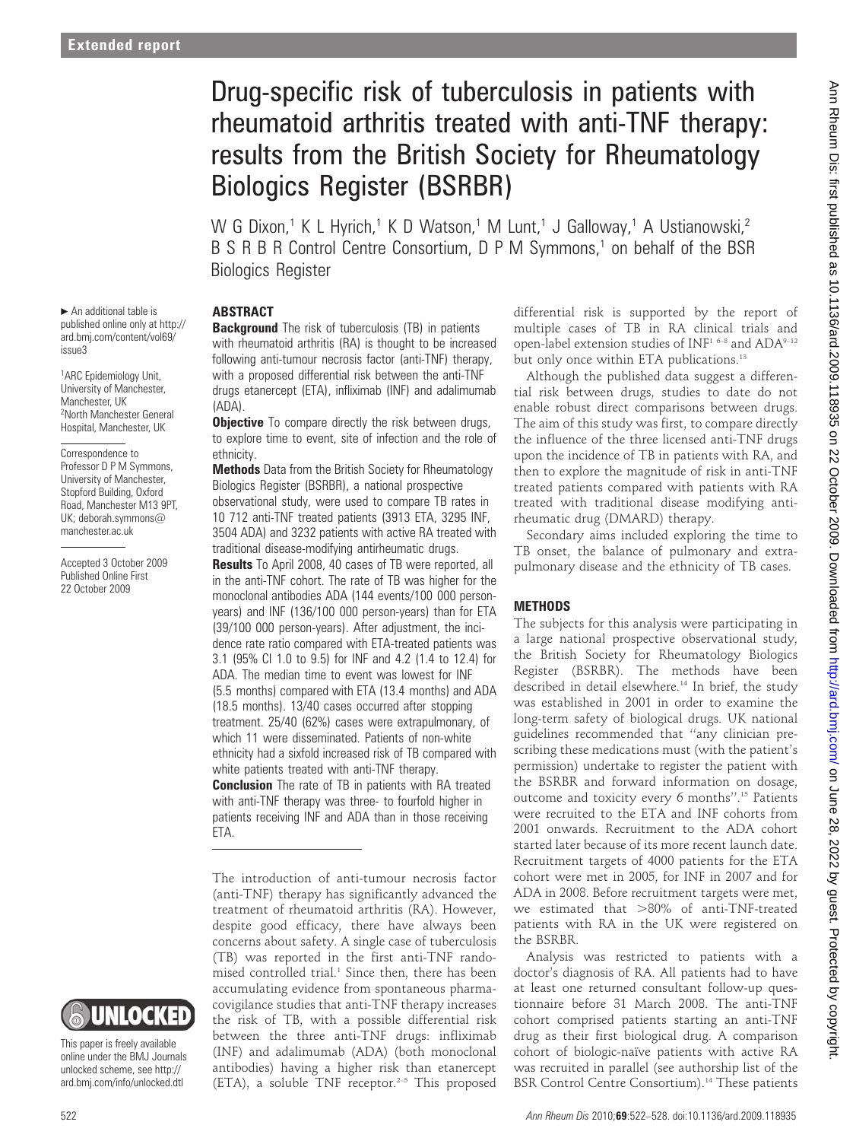# Drug-specific risk of tuberculosis in patients with rheumatoid arthritis treated with anti-TNF therapy: results from the British Society for Rheumatology Biologics Register (BSRBR)

W G Dixon,<sup>1</sup> K L Hyrich,<sup>1</sup> K D Watson,<sup>1</sup> M Lunt,<sup>1</sup> J Galloway,<sup>1</sup> A Ustianowski,<sup>2</sup> B S R B R Control Centre Consortium, D P M Symmons,<sup>1</sup> on behalf of the BSR Biologics Register

## ABSTRACT

with rheumatoid arthritis (RA) is thought to be increased following anti-tumour necrosis factor (anti-TNF) therapy, with a proposed differential risk between the anti-TNF drugs etanercept (ETA), infliximab (INF) and adalimumab (ADA). **Background** The risk of tuberculosis (TB) in patients

to explore time to event, site of infection and the role of ethnicity. **Objective** To compare directly the risk between drugs,

Biologics Register (BSRBR), a national prospective observational study, were used to compare TB rates in 10 712 anti-TNF treated patients (3913 ETA, 3295 INF, 3504 ADA) and 3232 patients with active RA treated with traditional disease-modifying antirheumatic drugs. Methods Data from the British Society for Rheumatology

in the anti-TNF cohort. The rate of TB was higher for the monoclonal antibodies ADA (144 events/100 000 personyears) and INF (136/100 000 person-years) than for ETA (39/100 000 person-years). After adjustment, the incidence rate ratio compared with ETA-treated patients was 3.1 (95% CI 1.0 to 9.5) for INF and 4.2 (1.4 to 12.4) for ADA. The median time to event was lowest for INF (5.5 months) compared with ETA (13.4 months) and ADA (18.5 months). 13/40 cases occurred after stopping treatment. 25/40 (62%) cases were extrapulmonary, of which 11 were disseminated. Patients of non-white ethnicity had a sixfold increased risk of TB compared with white patients treated with anti-TNF therapy. with anti-TNF therapy was three- to fourfold higher in patients receiving INF and ADA than in those receiving ETA. Results To April 2008, 40 cases of TB were reported, all Conclusion The rate of TB in patients with RA treated

The introduction of anti-tumour necrosis factor (anti-TNF) therapy has significantly advanced the treatment of rheumatoid arthritis (RA). However, despite good efficacy, there have always been concerns about safety. A single case of tuberculosis (TB) was reported in the first anti-TNF randomised controlled trial.<sup>1</sup> Since then, there has been accumulating evidence from spontaneous pharmacovigilance studies that anti-TNF therapy increases the risk of TB, with a possible differential risk between the three anti-TNF drugs: infliximab (INF) and adalimumab (ADA) (both monoclonal antibodies) having a higher risk than etanercept (ETA), a soluble TNF receptor.<sup>2-5</sup> This proposed

differential risk is supported by the report of multiple cases of TB in RA clinical trials and open-label extension studies of INF<sup>1 6-8</sup> and ADA<sup>9-12</sup> but only once within ETA publications.<sup>13</sup>

Although the published data suggest a differential risk between drugs, studies to date do not enable robust direct comparisons between drugs. The aim of this study was first, to compare directly the influence of the three licensed anti-TNF drugs upon the incidence of TB in patients with RA, and then to explore the magnitude of risk in anti-TNF treated patients compared with patients with RA treated with traditional disease modifying antirheumatic drug (DMARD) therapy.

Secondary aims included exploring the time to TB onset, the balance of pulmonary and extrapulmonary disease and the ethnicity of TB cases.

## **METHODS**

The subjects for this analysis were participating in a large national prospective observational study, the British Society for Rheumatology Biologics Register (BSRBR). The methods have been described in detail elsewhere.14 In brief, the study was established in 2001 in order to examine the long-term safety of biological drugs. UK national guidelines recommended that ''any clinician prescribing these medications must (with the patient's permission) undertake to register the patient with the BSRBR and forward information on dosage, outcome and toxicity every 6 months''.15 Patients were recruited to the ETA and INF cohorts from 2001 onwards. Recruitment to the ADA cohort started later because of its more recent launch date. Recruitment targets of 4000 patients for the ETA cohort were met in 2005, for INF in 2007 and for ADA in 2008. Before recruitment targets were met, we estimated that  $>80\%$  of anti-TNF-treated patients with RA in the UK were registered on the BSRBR. **Drug Specific Title Controlling Controlling Controlling Controlling Controlling Controlling Controlling Controlling Controlling Controlling Controlling Controlling Controlling Controlling Controlling Controlling Controll** 

Analysis was restricted to patients with a doctor's diagnosis of RA. All patients had to have at least one returned consultant follow-up questionnaire before 31 March 2008. The anti-TNF cohort comprised patients starting an anti-TNF drug as their first biological drug. A comparison cohort of biologic-naïve patients with active RA was recruited in parallel (see authorship list of the BSR Control Centre Consortium).<sup>14</sup> These patients

 $\blacktriangleright$  An additional table is published online only at http:// ard.bmj.com/content/vol69/ issue3

1 ARC Epidemiology Unit, University of Manchester, Manchester, UK 2 North Manchester General Hospital, Manchester, UK

Correspondence to Professor D P M Symmons, University of Manchester, Stopford Building, Oxford Road, Manchester M13 9PT, UK; deborah.symmons@ manchester.ac.uk

Accepted 3 October 2009 Published Online First 22 October 2009



This paper is freely available online under the BMJ Journals unlocked scheme, see http:// ard.bmj.com/info/unlocked.dtl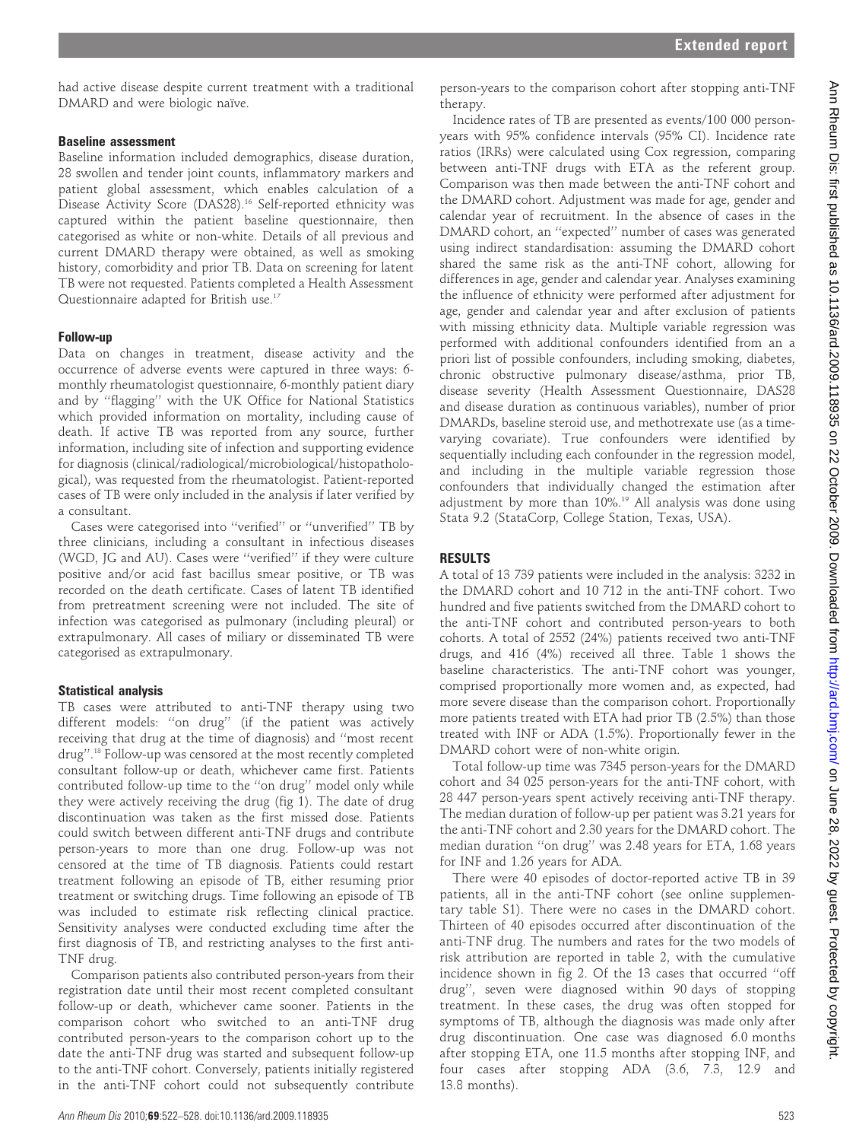had active disease despite current treatment with a traditional DMARD and were biologic naïve.

#### Baseline assessment

Baseline information included demographics, disease duration, 28 swollen and tender joint counts, inflammatory markers and patient global assessment, which enables calculation of a Disease Activity Score (DAS28).16 Self-reported ethnicity was captured within the patient baseline questionnaire, then categorised as white or non-white. Details of all previous and current DMARD therapy were obtained, as well as smoking history, comorbidity and prior TB. Data on screening for latent TB were not requested. Patients completed a Health Assessment Questionnaire adapted for British use.17

## Follow-up

Data on changes in treatment, disease activity and the occurrence of adverse events were captured in three ways: 6 monthly rheumatologist questionnaire, 6-monthly patient diary and by ''flagging'' with the UK Office for National Statistics which provided information on mortality, including cause of death. If active TB was reported from any source, further information, including site of infection and supporting evidence for diagnosis (clinical/radiological/microbiological/histopathological), was requested from the rheumatologist. Patient-reported cases of TB were only included in the analysis if later verified by a consultant.

Cases were categorised into ''verified'' or ''unverified'' TB by three clinicians, including a consultant in infectious diseases (WGD, JG and AU). Cases were ''verified'' if they were culture positive and/or acid fast bacillus smear positive, or TB was recorded on the death certificate. Cases of latent TB identified from pretreatment screening were not included. The site of infection was categorised as pulmonary (including pleural) or extrapulmonary. All cases of miliary or disseminated TB were categorised as extrapulmonary.

## Statistical analysis

TB cases were attributed to anti-TNF therapy using two different models: ''on drug'' (if the patient was actively receiving that drug at the time of diagnosis) and ''most recent drug''.18 Follow-up was censored at the most recently completed consultant follow-up or death, whichever came first. Patients contributed follow-up time to the ''on drug'' model only while they were actively receiving the drug (fig 1). The date of drug discontinuation was taken as the first missed dose. Patients could switch between different anti-TNF drugs and contribute person-years to more than one drug. Follow-up was not censored at the time of TB diagnosis. Patients could restart treatment following an episode of TB, either resuming prior treatment or switching drugs. Time following an episode of TB was included to estimate risk reflecting clinical practice. Sensitivity analyses were conducted excluding time after the first diagnosis of TB, and restricting analyses to the first anti-TNF drug.

Comparison patients also contributed person-years from their registration date until their most recent completed consultant follow-up or death, whichever came sooner. Patients in the comparison cohort who switched to an anti-TNF drug contributed person-years to the comparison cohort up to the date the anti-TNF drug was started and subsequent follow-up to the anti-TNF cohort. Conversely, patients initially registered in the anti-TNF cohort could not subsequently contribute

person-years to the comparison cohort after stopping anti-TNF therapy.

Incidence rates of TB are presented as events/100 000 personyears with 95% confidence intervals (95% CI). Incidence rate ratios (IRRs) were calculated using Cox regression, comparing between anti-TNF drugs with ETA as the referent group. Comparison was then made between the anti-TNF cohort and the DMARD cohort. Adjustment was made for age, gender and calendar year of recruitment. In the absence of cases in the DMARD cohort, an ''expected'' number of cases was generated using indirect standardisation: assuming the DMARD cohort shared the same risk as the anti-TNF cohort, allowing for differences in age, gender and calendar year. Analyses examining the influence of ethnicity were performed after adjustment for age, gender and calendar year and after exclusion of patients with missing ethnicity data. Multiple variable regression was performed with additional confounders identified from an a priori list of possible confounders, including smoking, diabetes, chronic obstructive pulmonary disease/asthma, prior TB, disease severity (Health Assessment Questionnaire, DAS28 and disease duration as continuous variables), number of prior DMARDs, baseline steroid use, and methotrexate use (as a timevarying covariate). True confounders were identified by sequentially including each confounder in the regression model, and including in the multiple variable regression those confounders that individually changed the estimation after adjustment by more than 10%.19 All analysis was done using Stata 9.2 (StataCorp, College Station, Texas, USA). or are entered by the main of the three states in the control or the control or the control or the control or the control or the control or the control or the control or the control or the control or the control or the c

## RESULTS

A total of 13 739 patients were included in the analysis: 3232 in the DMARD cohort and 10 712 in the anti-TNF cohort. Two hundred and five patients switched from the DMARD cohort to the anti-TNF cohort and contributed person-years to both cohorts. A total of 2552 (24%) patients received two anti-TNF drugs, and 416 (4%) received all three. Table 1 shows the baseline characteristics. The anti-TNF cohort was younger, comprised proportionally more women and, as expected, had more severe disease than the comparison cohort. Proportionally more patients treated with ETA had prior TB (2.5%) than those treated with INF or ADA (1.5%). Proportionally fewer in the DMARD cohort were of non-white origin.

Total follow-up time was 7345 person-years for the DMARD cohort and 34 025 person-years for the anti-TNF cohort, with 28 447 person-years spent actively receiving anti-TNF therapy. The median duration of follow-up per patient was 3.21 years for the anti-TNF cohort and 2.30 years for the DMARD cohort. The median duration ''on drug'' was 2.48 years for ETA, 1.68 years for INF and 1.26 years for ADA.

There were 40 episodes of doctor-reported active TB in 39 patients, all in the anti-TNF cohort (see online supplementary table S1). There were no cases in the DMARD cohort. Thirteen of 40 episodes occurred after discontinuation of the anti-TNF drug. The numbers and rates for the two models of risk attribution are reported in table 2, with the cumulative incidence shown in fig 2. Of the 13 cases that occurred ''off drug'', seven were diagnosed within 90 days of stopping treatment. In these cases, the drug was often stopped for symptoms of TB, although the diagnosis was made only after drug discontinuation. One case was diagnosed 6.0 months after stopping ETA, one 11.5 months after stopping INF, and four cases after stopping ADA (3.6, 7.3, 12.9 and 13.8 months).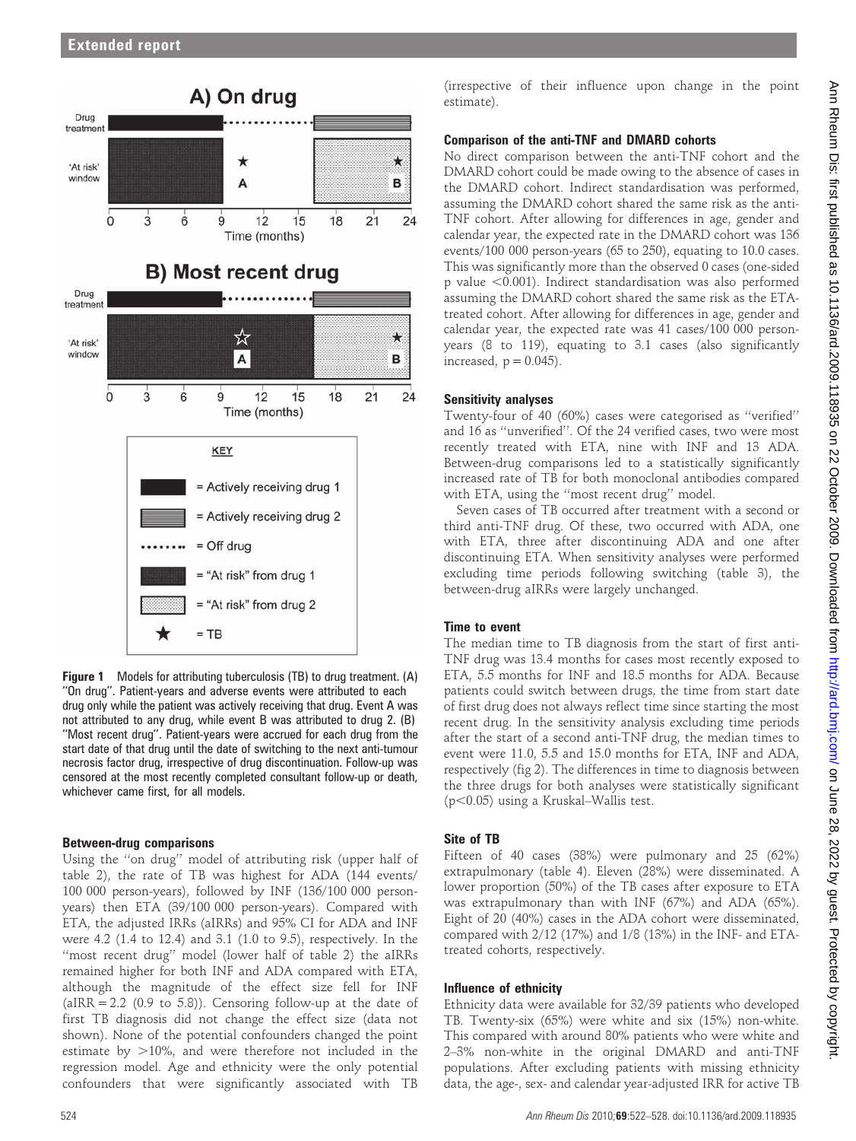

Figure 1 Models for attributing tuberculosis (TB) to drug treatment. (A) ''On drug''. Patient-years and adverse events were attributed to each drug only while the patient was actively receiving that drug. Event A was not attributed to any drug, while event B was attributed to drug 2. (B) ''Most recent drug''. Patient-years were accrued for each drug from the start date of that drug until the date of switching to the next anti-tumour necrosis factor drug, irrespective of drug discontinuation. Follow-up was censored at the most recently completed consultant follow-up or death, whichever came first, for all models.

#### Between-drug comparisons

Using the ''on drug'' model of attributing risk (upper half of table 2), the rate of TB was highest for ADA (144 events/ 100 000 person-years), followed by INF (136/100 000 personyears) then ETA (39/100 000 person-years). Compared with ETA, the adjusted IRRs (aIRRs) and 95% CI for ADA and INF were 4.2 (1.4 to 12.4) and 3.1 (1.0 to 9.5), respectively. In the ''most recent drug'' model (lower half of table 2) the aIRRs remained higher for both INF and ADA compared with ETA, although the magnitude of the effect size fell for INF (aIRR =  $2.2$  (0.9 to 5.8)). Censoring follow-up at the date of first TB diagnosis did not change the effect size (data not shown). None of the potential confounders changed the point estimate by  $>10\%$ , and were therefore not included in the regression model. Age and ethnicity were the only potential confounders that were significantly associated with TB

(irrespective of their influence upon change in the point estimate).

#### Comparison of the anti-TNF and DMARD cohorts

No direct comparison between the anti-TNF cohort and the DMARD cohort could be made owing to the absence of cases in the DMARD cohort. Indirect standardisation was performed, assuming the DMARD cohort shared the same risk as the anti-TNF cohort. After allowing for differences in age, gender and calendar year, the expected rate in the DMARD cohort was 136 events/100 000 person-years (65 to 250), equating to 10.0 cases. This was significantly more than the observed 0 cases (one-sided p value ,0.001). Indirect standardisation was also performed assuming the DMARD cohort shared the same risk as the ETAtreated cohort. After allowing for differences in age, gender and calendar year, the expected rate was 41 cases/100 000 personyears (8 to 119), equating to 3.1 cases (also significantly increased,  $p = 0.045$ ).

## Sensitivity analyses

Twenty-four of 40 (60%) cases were categorised as ''verified'' and 16 as ''unverified''. Of the 24 verified cases, two were most recently treated with ETA, nine with INF and 13 ADA. Between-drug comparisons led to a statistically significantly increased rate of TB for both monoclonal antibodies compared with ETA, using the ''most recent drug'' model.

Seven cases of TB occurred after treatment with a second or third anti-TNF drug. Of these, two occurred with ADA, one with ETA, three after discontinuing ADA and one after discontinuing ETA. When sensitivity analyses were performed excluding time periods following switching (table 3), the between-drug aIRRs were largely unchanged.

## Time to event

The median time to TB diagnosis from the start of first anti-TNF drug was 13.4 months for cases most recently exposed to ETA, 5.5 months for INF and 18.5 months for ADA. Because patients could switch between drugs, the time from start date of first drug does not always reflect time since starting the most recent drug. In the sensitivity analysis excluding time periods after the start of a second anti-TNF drug, the median times to event were 11.0, 5.5 and 15.0 months for ETA, INF and ADA, respectively (fig 2). The differences in time to diagnosis between the three drugs for both analyses were statistically significant  $(p<0.05)$  using a Kruskal–Wallis test.

## Site of TB

Fifteen of 40 cases (38%) were pulmonary and 25 (62%) extrapulmonary (table 4). Eleven (28%) were disseminated. A lower proportion (50%) of the TB cases after exposure to ETA was extrapulmonary than with INF (67%) and ADA (65%). Eight of 20 (40%) cases in the ADA cohort were disseminated, compared with 2/12 (17%) and 1/8 (13%) in the INF- and ETAtreated cohorts, respectively.

## Influence of ethnicity

Ethnicity data were available for 32/39 patients who developed TB. Twenty-six (65%) were white and six (15%) non-white. This compared with around 80% patients who were white and 2–3% non-white in the original DMARD and anti-TNF populations. After excluding patients with missing ethnicity data, the age-, sex- and calendar year-adjusted IRR for active TB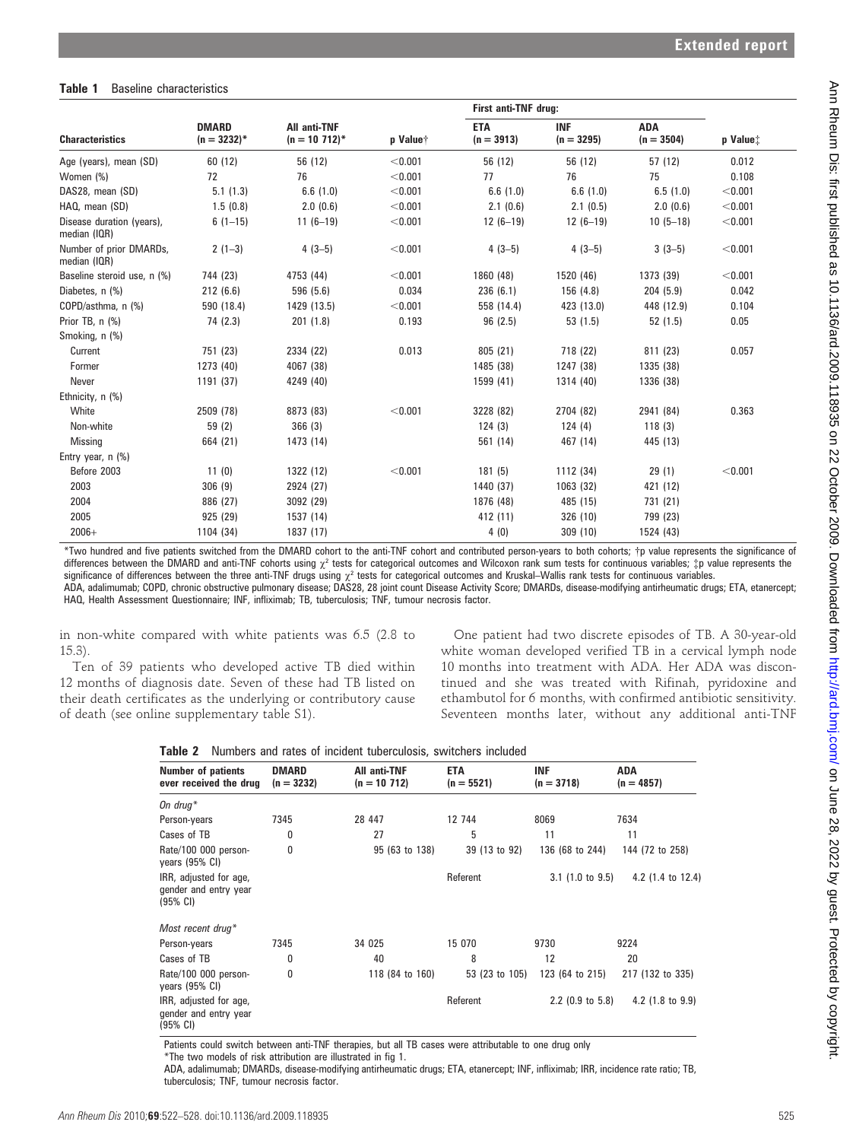#### Table 1 Baseline characteristics

|                                                                                                                                                                                                                                                                                                                                                                                                                                                                                                                                                                                                | <b>DMARD</b><br>$(n = 3232)^*$                                                                              | All anti-TNF<br>$(n = 10712)^*$ | p Value†                                                                                                                                                                                                                                  | First anti-TNF drug:<br><b>ETA</b><br><b>ADA</b><br>INF |                            |                             |                                                                                                                                                                                       |
|------------------------------------------------------------------------------------------------------------------------------------------------------------------------------------------------------------------------------------------------------------------------------------------------------------------------------------------------------------------------------------------------------------------------------------------------------------------------------------------------------------------------------------------------------------------------------------------------|-------------------------------------------------------------------------------------------------------------|---------------------------------|-------------------------------------------------------------------------------------------------------------------------------------------------------------------------------------------------------------------------------------------|---------------------------------------------------------|----------------------------|-----------------------------|---------------------------------------------------------------------------------------------------------------------------------------------------------------------------------------|
| <b>Characteristics</b>                                                                                                                                                                                                                                                                                                                                                                                                                                                                                                                                                                         |                                                                                                             |                                 |                                                                                                                                                                                                                                           | $(n = 3913)$                                            | $(n = 3295)$               | $(n = 3504)$                | p Value:                                                                                                                                                                              |
| Age (years), mean (SD)                                                                                                                                                                                                                                                                                                                                                                                                                                                                                                                                                                         | 60(12)                                                                                                      | 56 (12)                         | < 0.001                                                                                                                                                                                                                                   | 56 (12)                                                 | 56 (12)                    | 57 (12)                     | 0.012                                                                                                                                                                                 |
| Women (%)                                                                                                                                                                                                                                                                                                                                                                                                                                                                                                                                                                                      | 72                                                                                                          | 76                              | < 0.001                                                                                                                                                                                                                                   | 77                                                      | 76                         | 75                          | 0.108                                                                                                                                                                                 |
| DAS28, mean (SD)                                                                                                                                                                                                                                                                                                                                                                                                                                                                                                                                                                               | 5.1(1.3)                                                                                                    | 6.6(1.0)                        | < 0.001                                                                                                                                                                                                                                   | 6.6(1.0)                                                | 6.6(1.0)                   | 6.5(1.0)                    | < 0.001                                                                                                                                                                               |
| HAQ, mean (SD)                                                                                                                                                                                                                                                                                                                                                                                                                                                                                                                                                                                 | 1.5(0.8)                                                                                                    | 2.0(0.6)                        | < 0.001                                                                                                                                                                                                                                   | 2.1(0.6)                                                | 2.1(0.5)                   | 2.0(0.6)                    | < 0.001                                                                                                                                                                               |
| Disease duration (years),<br>median (IQR)                                                                                                                                                                                                                                                                                                                                                                                                                                                                                                                                                      | $6(1-15)$                                                                                                   | $11(6-19)$                      | < 0.001                                                                                                                                                                                                                                   | $12(6-19)$                                              | $12(6-19)$                 | $10(5-18)$                  | < 0.001                                                                                                                                                                               |
| Number of prior DMARDs,<br>median (IQR)                                                                                                                                                                                                                                                                                                                                                                                                                                                                                                                                                        | $2(1-3)$                                                                                                    | $4(3-5)$                        | < 0.001                                                                                                                                                                                                                                   | $4(3-5)$                                                | $4(3-5)$                   | $3(3-5)$                    | < 0.001                                                                                                                                                                               |
| Baseline steroid use, n (%)                                                                                                                                                                                                                                                                                                                                                                                                                                                                                                                                                                    | 744 (23)                                                                                                    | 4753 (44)                       | < 0.001                                                                                                                                                                                                                                   | 1860 (48)                                               | 1520 (46)                  | 1373 (39)                   | < 0.001                                                                                                                                                                               |
| Diabetes, n (%)                                                                                                                                                                                                                                                                                                                                                                                                                                                                                                                                                                                | 212(6.6)                                                                                                    | 596 (5.6)                       | 0.034                                                                                                                                                                                                                                     | 236(6.1)                                                | 156(4.8)                   | 204(5.9)                    | 0.042                                                                                                                                                                                 |
| COPD/asthma, n (%)                                                                                                                                                                                                                                                                                                                                                                                                                                                                                                                                                                             | 590 (18.4)                                                                                                  | 1429 (13.5)                     | < 0.001                                                                                                                                                                                                                                   | 558 (14.4)                                              | 423 (13.0)                 | 448 (12.9)                  | 0.104                                                                                                                                                                                 |
|                                                                                                                                                                                                                                                                                                                                                                                                                                                                                                                                                                                                |                                                                                                             |                                 | 0.193                                                                                                                                                                                                                                     |                                                         |                            |                             | 0.05                                                                                                                                                                                  |
| Prior TB, n (%)<br>Smoking, n (%)                                                                                                                                                                                                                                                                                                                                                                                                                                                                                                                                                              | 74 (2.3)                                                                                                    | 201 (1.8)                       |                                                                                                                                                                                                                                           | 96(2.5)                                                 | 53(1.5)                    | 52(1.5)                     |                                                                                                                                                                                       |
| Current                                                                                                                                                                                                                                                                                                                                                                                                                                                                                                                                                                                        | 751 (23)                                                                                                    | 2334 (22)                       | 0.013                                                                                                                                                                                                                                     | 805 (21)                                                | 718 (22)                   | 811 (23)                    | 0.057                                                                                                                                                                                 |
| Former                                                                                                                                                                                                                                                                                                                                                                                                                                                                                                                                                                                         | 1273 (40)                                                                                                   | 4067 (38)                       |                                                                                                                                                                                                                                           | 1485 (38)                                               | 1247 (38)                  | 1335 (38)                   |                                                                                                                                                                                       |
| Never                                                                                                                                                                                                                                                                                                                                                                                                                                                                                                                                                                                          | 1191 (37)                                                                                                   | 4249 (40)                       |                                                                                                                                                                                                                                           | 1599 (41)                                               | 1314 (40)                  | 1336 (38)                   |                                                                                                                                                                                       |
| Ethnicity, n (%)                                                                                                                                                                                                                                                                                                                                                                                                                                                                                                                                                                               |                                                                                                             |                                 |                                                                                                                                                                                                                                           |                                                         |                            |                             |                                                                                                                                                                                       |
| White                                                                                                                                                                                                                                                                                                                                                                                                                                                                                                                                                                                          | 2509 (78)                                                                                                   | 8873 (83)                       | < 0.001                                                                                                                                                                                                                                   | 3228 (82)                                               | 2704 (82)                  | 2941 (84)                   | 0.363                                                                                                                                                                                 |
| Non-white                                                                                                                                                                                                                                                                                                                                                                                                                                                                                                                                                                                      | 59 (2)                                                                                                      | 366(3)                          |                                                                                                                                                                                                                                           | 124(3)                                                  | 124(4)                     | 118(3)                      |                                                                                                                                                                                       |
| <b>Missing</b>                                                                                                                                                                                                                                                                                                                                                                                                                                                                                                                                                                                 | 664 (21)                                                                                                    | 1473 (14)                       |                                                                                                                                                                                                                                           | 561 (14)                                                | 467 (14)                   | 445 (13)                    |                                                                                                                                                                                       |
| Entry year, $n$ (%)                                                                                                                                                                                                                                                                                                                                                                                                                                                                                                                                                                            |                                                                                                             |                                 |                                                                                                                                                                                                                                           |                                                         |                            |                             |                                                                                                                                                                                       |
| Before 2003                                                                                                                                                                                                                                                                                                                                                                                                                                                                                                                                                                                    | 11(0)                                                                                                       | 1322 (12)                       | < 0.001                                                                                                                                                                                                                                   | 181(5)                                                  | 1112 (34)                  | 29(1)                       | < 0.001                                                                                                                                                                               |
| 2003                                                                                                                                                                                                                                                                                                                                                                                                                                                                                                                                                                                           |                                                                                                             |                                 |                                                                                                                                                                                                                                           |                                                         |                            |                             |                                                                                                                                                                                       |
|                                                                                                                                                                                                                                                                                                                                                                                                                                                                                                                                                                                                | 306(9)                                                                                                      | 2924 (27)                       |                                                                                                                                                                                                                                           | 1440 (37)                                               | 1063 (32)                  | 421 (12)                    |                                                                                                                                                                                       |
| 2004                                                                                                                                                                                                                                                                                                                                                                                                                                                                                                                                                                                           | 886 (27)                                                                                                    | 3092 (29)                       |                                                                                                                                                                                                                                           | 1876 (48)                                               | 485 (15)                   | 731 (21)                    |                                                                                                                                                                                       |
| 2005                                                                                                                                                                                                                                                                                                                                                                                                                                                                                                                                                                                           | 925 (29)                                                                                                    | 1537 (14)                       |                                                                                                                                                                                                                                           | 412 (11)                                                | 326 (10)                   | 799 (23)                    |                                                                                                                                                                                       |
| $2006+$                                                                                                                                                                                                                                                                                                                                                                                                                                                                                                                                                                                        | 1104 (34)                                                                                                   | 1837 (17)                       |                                                                                                                                                                                                                                           | 4(0)                                                    | 309 (10)                   | 1524 (43)                   |                                                                                                                                                                                       |
| significance of differences between the three anti-TNF drugs using $\chi^2$ tests for categorical outcomes and Kruskal–Wallis rank tests for continuous variables.<br>ADA, adalimumab; COPD, chronic obstructive pulmonary disease; DAS28, 28 joint count Disease Activity Score; DMARDs, disease-modifying antirheumatic drugs; ETA, etanercept;<br>HAQ, Health Assessment Questionnaire; INF, infliximab; TB, tuberculosis; TNF, tumour necrosis factor.<br>in non-white compared with white patients was 6.5 (2.8 to<br>$15.3$ ).<br>Ten of 39 patients who developed active TB died within |                                                                                                             |                                 |                                                                                                                                                                                                                                           |                                                         |                            |                             | One patient had two discrete episodes of TB. A 30-year-old<br>white woman developed verified TB in a cervical lymph node<br>10 months into treatment with ADA. Her ADA was discon-    |
|                                                                                                                                                                                                                                                                                                                                                                                                                                                                                                                                                                                                |                                                                                                             |                                 |                                                                                                                                                                                                                                           |                                                         |                            |                             | tinued and she was treated with Rifinah, pyridoxine and<br>ethambutol for 6 months, with confirmed antibiotic sensitivity.<br>Seventeen months later, without any additional anti-TNF |
|                                                                                                                                                                                                                                                                                                                                                                                                                                                                                                                                                                                                |                                                                                                             |                                 | Table 2 Numbers and rates of incident tuberculosis, switchers included                                                                                                                                                                    |                                                         |                            |                             |                                                                                                                                                                                       |
|                                                                                                                                                                                                                                                                                                                                                                                                                                                                                                                                                                                                | <b>Number of patients</b><br>ever received the drug                                                         | <b>DMARD</b><br>$(n = 3232)$    | <b>All anti-TNF</b><br>$(n = 10 712)$                                                                                                                                                                                                     | <b>ETA</b><br>$(n = 5521)$                              | <b>INF</b><br>$(n = 3718)$ | <b>ADA</b><br>$(n = 4857)$  |                                                                                                                                                                                       |
| On drug <sup>*</sup>                                                                                                                                                                                                                                                                                                                                                                                                                                                                                                                                                                           |                                                                                                             |                                 |                                                                                                                                                                                                                                           |                                                         |                            |                             |                                                                                                                                                                                       |
|                                                                                                                                                                                                                                                                                                                                                                                                                                                                                                                                                                                                | Person-years                                                                                                | 7345                            | 28 447                                                                                                                                                                                                                                    | 12 744                                                  | 8069                       | 7634                        |                                                                                                                                                                                       |
|                                                                                                                                                                                                                                                                                                                                                                                                                                                                                                                                                                                                | Cases of TB                                                                                                 | 0                               | 27                                                                                                                                                                                                                                        | 5                                                       | 11                         | 11                          |                                                                                                                                                                                       |
| 12 months of diagnosis date. Seven of these had TB listed on<br>their death certificates as the underlying or contributory cause<br>of death (see online supplementary table S1).                                                                                                                                                                                                                                                                                                                                                                                                              | Rate/100 000 person-<br>years (95% CI)                                                                      | 0                               | 95 (63 to 138)                                                                                                                                                                                                                            | 39 (13 to 92)                                           | 136 (68 to 244)            | 144 (72 to 258)             |                                                                                                                                                                                       |
| $(95% \text{ Cl})$                                                                                                                                                                                                                                                                                                                                                                                                                                                                                                                                                                             | IRR, adjusted for age,<br>gender and entry year                                                             |                                 |                                                                                                                                                                                                                                           | Referent                                                | $3.1$ (1.0 to 9.5)         | 4.2 (1.4 to 12.4)           |                                                                                                                                                                                       |
|                                                                                                                                                                                                                                                                                                                                                                                                                                                                                                                                                                                                | Most recent drug*                                                                                           |                                 |                                                                                                                                                                                                                                           |                                                         |                            |                             |                                                                                                                                                                                       |
|                                                                                                                                                                                                                                                                                                                                                                                                                                                                                                                                                                                                | Person-years                                                                                                | 7345                            | 34 025                                                                                                                                                                                                                                    | 15 070                                                  | 9730                       | 9224                        |                                                                                                                                                                                       |
|                                                                                                                                                                                                                                                                                                                                                                                                                                                                                                                                                                                                | Cases of TB                                                                                                 | 0                               | 40                                                                                                                                                                                                                                        | 8                                                       | 12                         | 20                          |                                                                                                                                                                                       |
|                                                                                                                                                                                                                                                                                                                                                                                                                                                                                                                                                                                                | Rate/100 000 person-<br>years (95% CI)                                                                      | 0                               | 118 (84 to 160)                                                                                                                                                                                                                           | 53 (23 to 105)                                          | 123 (64 to 215)            | 217 (132 to 335)            |                                                                                                                                                                                       |
| $(95% \text{ Cl})$                                                                                                                                                                                                                                                                                                                                                                                                                                                                                                                                                                             | IRR, adjusted for age,<br>gender and entry year                                                             |                                 |                                                                                                                                                                                                                                           | Referent                                                | $2.2$ (0.9 to 5.8)         | 4.2 $(1.8 \text{ to } 9.9)$ |                                                                                                                                                                                       |
|                                                                                                                                                                                                                                                                                                                                                                                                                                                                                                                                                                                                | *The two models of risk attribution are illustrated in fig 1.<br>tuberculosis; TNF, tumour necrosis factor. |                                 | Patients could switch between anti-TNF therapies, but all TB cases were attributable to one drug only<br>ADA, adalimumab; DMARDs, disease-modifying antirheumatic drugs; ETA, etanercept; INF, infliximab; IRR, incidence rate ratio; TB, |                                                         |                            |                             |                                                                                                                                                                                       |

| Table 2 Numbers and rates of incident tuberculosis, switchers included |  |
|------------------------------------------------------------------------|--|
|------------------------------------------------------------------------|--|

| <b>Number of patients</b><br>ever received the drug                     | <b>DMARD</b><br>$(n = 3232)$ | All anti-TNF<br>$(n = 10 712)$ | ETA<br>$(n = 5521)$ | INF<br>$(n = 3718)$ | ADA<br>$(n = 4857)$ |
|-------------------------------------------------------------------------|------------------------------|--------------------------------|---------------------|---------------------|---------------------|
| On drug <sup>*</sup>                                                    |                              |                                |                     |                     |                     |
| Person-years                                                            | 7345                         | 28 447                         | 12 744              | 8069                | 7634                |
| Cases of TB                                                             | 0                            | 27                             | 5                   | 11                  | 11                  |
| Rate/100 000 person-<br>years (95% CI)                                  | 0                            | 95 (63 to 138)                 | 39 (13 to 92)       | 136 (68 to 244)     | 144 (72 to 258)     |
| IRR, adjusted for age,<br>gender and entry year<br>$(95% \; \text{Cl})$ |                              |                                | Referent            | $3.1$ (1.0 to 9.5)  | 4.2 (1.4 to 12.4)   |
| Most recent drug*                                                       |                              |                                |                     |                     |                     |
| Person-years                                                            | 7345                         | 34 025                         | 15 070              | 9730                | 9224                |
| Cases of TB                                                             | 0                            | 40                             | 8                   | 12                  | 20                  |
| Rate/100 000 person-<br>years (95% CI)                                  | 0                            | 118 (84 to 160)                | 53 (23 to 105)      | 123 (64 to 215)     | 217 (132 to 335)    |
| IRR, adjusted for age,<br>gender and entry year<br>$(95% \text{ Cl})$   |                              |                                | Referent            | $2.2$ (0.9 to 5.8)  | $4.2$ (1.8 to 9.9)  |

<sup>\*</sup>The two models of risk attribution are illustrated in fig 1.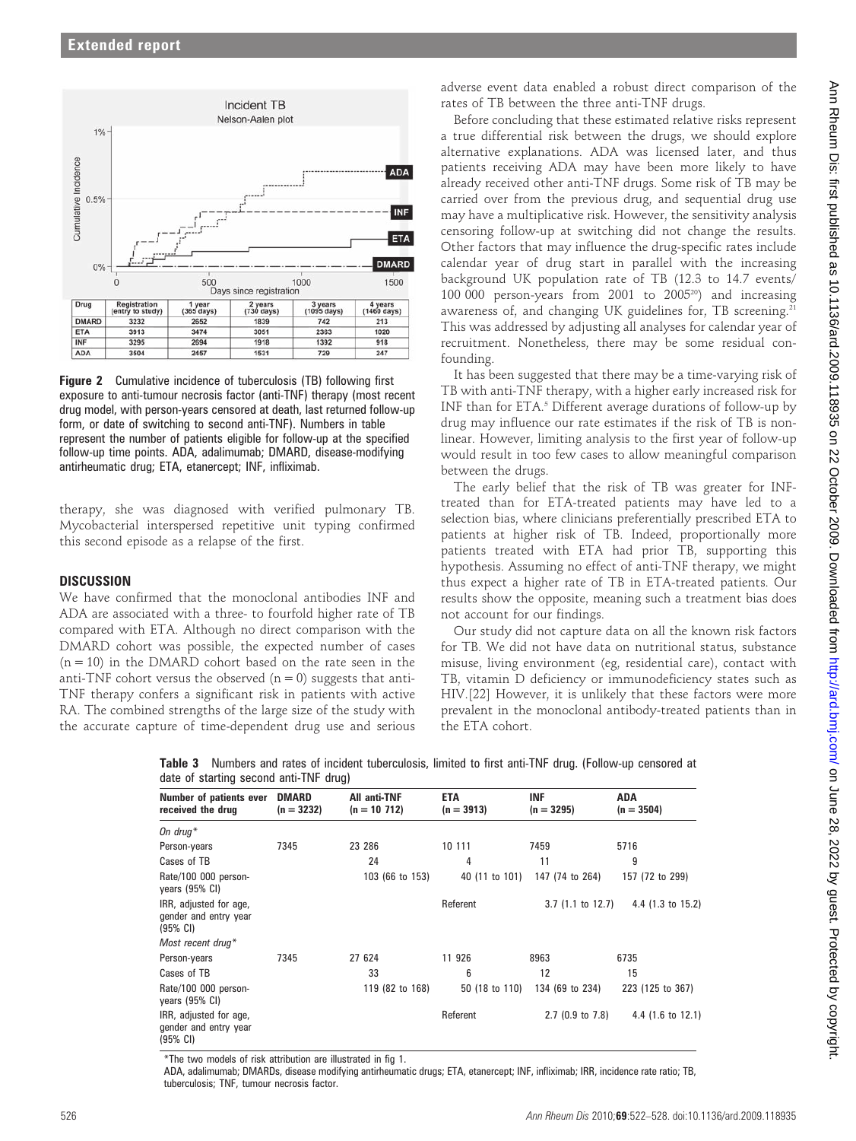

#### **DISCUSSION**

adverse event data enabled a robust direct comparison of the rates of TB between the three anti-TNF drugs.

|                                                                                                       | years (95% CI)<br>IRR, adjusted for age,<br>gender and entry year<br>(95% CI)<br>Most recent drug*<br>Person-years<br>Cases of TB<br>Rate/100 000 person-<br>years (95% CI)<br>IRR, adjusted for age,<br>gender and entry year<br>$(95% \text{ Cl})$                                                                                                                                                                                                                                                                                                                                                                                         | 7345<br>*The two models of risk attribution are illustrated in fig 1.                            | 27 624<br>33<br>119 (82 to 168)<br>ADA, adalimumab; DMARDs, disease modifying antirheumatic drugs; ETA, etanercept; INF, infliximab; IRR, incidence rate ratio; TB, | 11 926<br>6<br>50 (18 to 110)<br>Referent        | 8963<br>12<br>134 (69 to 234)<br>$2.7$ (0.9 to 7.8) | 6735<br>15<br>223 (125 to 367)<br>4.4 $(1.6 \text{ to } 12.1)$            |                                                                                                                                                                                                                                                                                                                                                                                                                                                                                                                                                                                                                                                               |
|-------------------------------------------------------------------------------------------------------|----------------------------------------------------------------------------------------------------------------------------------------------------------------------------------------------------------------------------------------------------------------------------------------------------------------------------------------------------------------------------------------------------------------------------------------------------------------------------------------------------------------------------------------------------------------------------------------------------------------------------------------------|--------------------------------------------------------------------------------------------------|---------------------------------------------------------------------------------------------------------------------------------------------------------------------|--------------------------------------------------|-----------------------------------------------------|---------------------------------------------------------------------------|---------------------------------------------------------------------------------------------------------------------------------------------------------------------------------------------------------------------------------------------------------------------------------------------------------------------------------------------------------------------------------------------------------------------------------------------------------------------------------------------------------------------------------------------------------------------------------------------------------------------------------------------------------------|
|                                                                                                       |                                                                                                                                                                                                                                                                                                                                                                                                                                                                                                                                                                                                                                              |                                                                                                  |                                                                                                                                                                     |                                                  |                                                     |                                                                           |                                                                                                                                                                                                                                                                                                                                                                                                                                                                                                                                                                                                                                                               |
|                                                                                                       |                                                                                                                                                                                                                                                                                                                                                                                                                                                                                                                                                                                                                                              |                                                                                                  |                                                                                                                                                                     |                                                  |                                                     |                                                                           |                                                                                                                                                                                                                                                                                                                                                                                                                                                                                                                                                                                                                                                               |
|                                                                                                       |                                                                                                                                                                                                                                                                                                                                                                                                                                                                                                                                                                                                                                              |                                                                                                  |                                                                                                                                                                     |                                                  |                                                     |                                                                           |                                                                                                                                                                                                                                                                                                                                                                                                                                                                                                                                                                                                                                                               |
|                                                                                                       |                                                                                                                                                                                                                                                                                                                                                                                                                                                                                                                                                                                                                                              |                                                                                                  |                                                                                                                                                                     |                                                  |                                                     |                                                                           |                                                                                                                                                                                                                                                                                                                                                                                                                                                                                                                                                                                                                                                               |
|                                                                                                       |                                                                                                                                                                                                                                                                                                                                                                                                                                                                                                                                                                                                                                              |                                                                                                  |                                                                                                                                                                     | Referent                                         | $3.7$ (1.1 to 12.7)                                 | 4.4 (1.3 to 15.2)                                                         |                                                                                                                                                                                                                                                                                                                                                                                                                                                                                                                                                                                                                                                               |
|                                                                                                       | Rate/100 000 person-                                                                                                                                                                                                                                                                                                                                                                                                                                                                                                                                                                                                                         |                                                                                                  | 103 (66 to 153)                                                                                                                                                     | 40 (11 to 101)                                   | 147 (74 to 264)                                     | 157 (72 to 299)                                                           |                                                                                                                                                                                                                                                                                                                                                                                                                                                                                                                                                                                                                                                               |
|                                                                                                       | On drug <sup>*</sup><br>Person-years<br>Cases of TB                                                                                                                                                                                                                                                                                                                                                                                                                                                                                                                                                                                          | 7345                                                                                             | 23 286<br>24                                                                                                                                                        | 10 111<br>4                                      | 7459<br>11                                          | 5716<br>9                                                                 |                                                                                                                                                                                                                                                                                                                                                                                                                                                                                                                                                                                                                                                               |
|                                                                                                       | received the drug                                                                                                                                                                                                                                                                                                                                                                                                                                                                                                                                                                                                                            | $(n = 3232)$                                                                                     | $(n = 10 712)$                                                                                                                                                      | $(n = 3913)$                                     | $(n = 3295)$                                        | $(n = 3504)$                                                              |                                                                                                                                                                                                                                                                                                                                                                                                                                                                                                                                                                                                                                                               |
|                                                                                                       | date of starting second anti-TNF drug)<br>Number of patients ever DMARD                                                                                                                                                                                                                                                                                                                                                                                                                                                                                                                                                                      |                                                                                                  | Table 3 Numbers and rates of incident tuberculosis, limited to first anti-TNF drug. (Follow-up censored at<br>All anti-TNF                                          | <b>ETA</b>                                       | <b>INF</b>                                          | <b>ADA</b>                                                                |                                                                                                                                                                                                                                                                                                                                                                                                                                                                                                                                                                                                                                                               |
| <b>DISCUSSION</b>                                                                                     | this second episode as a relapse of the first.<br>We have confirmed that the monoclonal antibodies INF and<br>ADA are associated with a three- to fourfold higher rate of TB<br>compared with ETA. Although no direct comparison with the<br>DMARD cohort was possible, the expected number of cases<br>$(n = 10)$ in the DMARD cohort based on the rate seen in the<br>anti-TNF cohort versus the observed $(n = 0)$ suggests that anti-<br>TNF therapy confers a significant risk in patients with active<br>RA. The combined strengths of the large size of the study with<br>the accurate capture of time-dependent drug use and serious |                                                                                                  |                                                                                                                                                                     | not account for our findings.<br>the ETA cohort. |                                                     |                                                                           | patients treated with ETA had prior TB, supporting this<br>hypothesis. Assuming no effect of anti-TNF therapy, we might<br>thus expect a higher rate of TB in ETA-treated patients. Our<br>results show the opposite, meaning such a treatment bias does<br>Our study did not capture data on all the known risk factors<br>for TB. We did not have data on nutritional status, substance<br>misuse, living environment (eg, residential care), contact with<br>TB, vitamin D deficiency or immunodeficiency states such as<br>HIV.[22] However, it is unlikely that these factors were more<br>prevalent in the monoclonal antibody-treated patients than in |
|                                                                                                       | drug model, with person-years censored at death, last returned follow-up<br>form, or date of switching to second anti-TNF). Numbers in table<br>represent the number of patients eligible for follow-up at the specified<br>follow-up time points. ADA, adalimumab; DMARD, disease-modifying<br>antirheumatic drug; ETA, etanercept; INF, infliximab.<br>therapy, she was diagnosed with verified pulmonary TB.<br>Mycobacterial interspersed repetitive unit typing confirmed                                                                                                                                                               |                                                                                                  |                                                                                                                                                                     | between the drugs.                               |                                                     | treated than for ETA-treated patients may have led to a                   | INF than for ETA. <sup>5</sup> Different average durations of follow-up by<br>drug may influence our rate estimates if the risk of TB is non-<br>linear. However, limiting analysis to the first year of follow-up<br>would result in too few cases to allow meaningful comparison<br>The early belief that the risk of TB was greater for INF-<br>selection bias, where clinicians preferentially prescribed ETA to<br>patients at higher risk of TB. Indeed, proportionally more                                                                                                                                                                            |
| <b>ADA</b><br>3504                                                                                    | 2457<br>Figure 2 Cumulative incidence of tuberculosis (TB) following first<br>exposure to anti-tumour necrosis factor (anti-TNF) therapy (most recent                                                                                                                                                                                                                                                                                                                                                                                                                                                                                        | 729<br>1531                                                                                      | 247                                                                                                                                                                 | founding.                                        |                                                     |                                                                           | It has been suggested that there may be a time-varying risk of<br>TB with anti-TNF therapy, with a higher early increased risk for                                                                                                                                                                                                                                                                                                                                                                                                                                                                                                                            |
| Drug<br>Registration<br>(entry to study)<br><b>DMARD</b><br>3232<br>3913<br><b>ETA</b><br>INF<br>3295 | $1$ year<br>(365 days)<br>2652<br>3474<br>2694                                                                                                                                                                                                                                                                                                                                                                                                                                                                                                                                                                                               | $2$ years<br>(730 days)<br>3 years<br>(1095 days)<br>742<br>1839<br>3051<br>2363<br>1918<br>1392 | 4 years<br>(1460 days)<br>213<br>1020<br>918                                                                                                                        |                                                  |                                                     | awareness of, and changing UK guidelines for, TB screening. <sup>21</sup> | This was addressed by adjusting all analyses for calendar year of<br>recruitment. Nonetheless, there may be some residual con-                                                                                                                                                                                                                                                                                                                                                                                                                                                                                                                                |
|                                                                                                       |                                                                                                                                                                                                                                                                                                                                                                                                                                                                                                                                                                                                                                              | 1000<br>500 10<br>Days since registration                                                        | 1500                                                                                                                                                                |                                                  |                                                     | background UK population rate of TB (12.3 to 14.7 events/                 | 100 000 person-years from 2001 to 2005 <sup>20</sup> ) and increasing                                                                                                                                                                                                                                                                                                                                                                                                                                                                                                                                                                                         |
|                                                                                                       |                                                                                                                                                                                                                                                                                                                                                                                                                                                                                                                                                                                                                                              |                                                                                                  | INF<br>ETA<br><b>DMARD</b>                                                                                                                                          |                                                  |                                                     | censoring follow-up at switching did not change the results.              | carried over from the previous drug, and sequential drug use<br>may have a multiplicative risk. However, the sensitivity analysis<br>Other factors that may influence the drug-specific rates include<br>calendar year of drug start in parallel with the increasing                                                                                                                                                                                                                                                                                                                                                                                          |
| Cumulative Incidence<br>0.5%<br>0%                                                                    |                                                                                                                                                                                                                                                                                                                                                                                                                                                                                                                                                                                                                                              |                                                                                                  | <b>ADA</b>                                                                                                                                                          |                                                  |                                                     |                                                                           | alternative explanations. ADA was licensed later, and thus<br>patients receiving ADA may have been more likely to have<br>already received other anti-TNF drugs. Some risk of TB may be                                                                                                                                                                                                                                                                                                                                                                                                                                                                       |

Table 3 Numbers and rates of incident tuberculosis, limited to first anti-TNF drug. (Follow-up censored at date of starting second anti-TNF drug)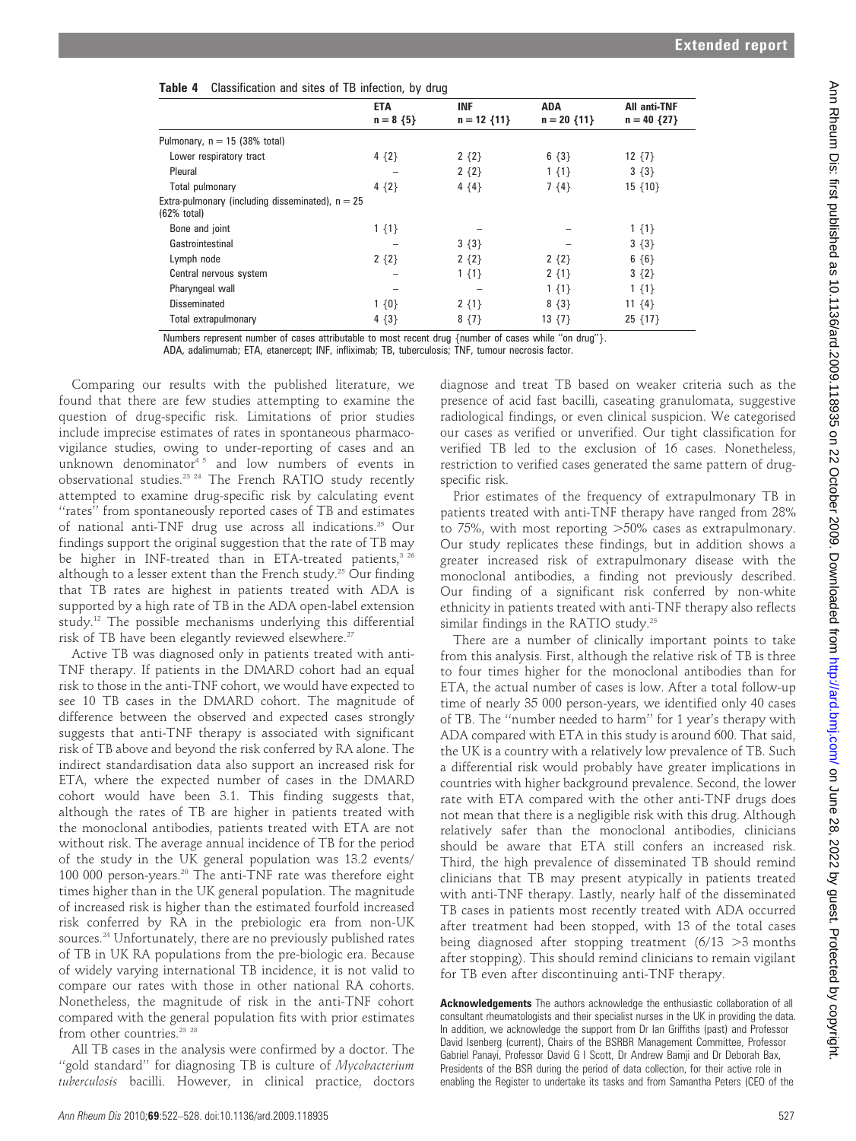|                                                                             | <b>ETA</b><br>$n = 8 \{5\}$ | <b>INF</b><br>$n = 12$ {11} | <b>ADA</b><br>$n = 20$ {11} | <b>All anti-TNF</b><br>$n = 40$ {27} |
|-----------------------------------------------------------------------------|-----------------------------|-----------------------------|-----------------------------|--------------------------------------|
| Pulmonary, $n = 15$ (38% total)                                             |                             |                             |                             |                                      |
| Lower respiratory tract                                                     | $4 {2}$                     | $2\{2\}$                    | $6 \{3\}$                   | $12\{7\}$                            |
| Pleural                                                                     |                             | $2\{2\}$                    | $1\{1\}$                    | $3 {3}$                              |
| Total pulmonary                                                             | $4 {2}$                     | $4\{4\}$                    | $7 {4}$                     | $15 \{10\}$                          |
| Extra-pulmonary (including disseminated), $n = 25$<br>$(62% \text{ total})$ |                             |                             |                             |                                      |
| Bone and joint                                                              | $1\{1\}$                    |                             |                             | $1\{1\}$                             |
| Gastrointestinal                                                            |                             | $3 {3}$                     |                             | $3 {3}$                              |
| Lymph node                                                                  | $2\{2\}$                    | $2\{2\}$                    | $2\{2\}$                    | $6\{6\}$                             |
| Central nervous system                                                      |                             | $1\{1\}$                    | $2\{1\}$                    | $3\{2\}$                             |
| Pharyngeal wall                                                             |                             |                             | $1\{1\}$                    | $1\{1\}$                             |
| Disseminated                                                                | $1 \{0\}$                   | $2\{1\}$                    | $8 {3}$                     | $11 {4}$                             |
| Total extrapulmonary                                                        | $4\{3\}$                    | $8\{7\}$                    | $13 \{7\}$                  | $25 \{17\}$                          |

Table 4 Classification and sites of TB infection, by drug

Numbers represent number of cases attributable to most recent drug {number of cases while ''on drug''}. ADA, adalimumab; ETA, etanercept; INF, infliximab; TB, tuberculosis; TNF, tumour necrosis factor.

Comparing our results with the published literature, we found that there are few studies attempting to examine the question of drug-specific risk. Limitations of prior studies include imprecise estimates of rates in spontaneous pharmacovigilance studies, owing to under-reporting of cases and an unknown denominator<sup>45</sup> and low numbers of events in observational studies.23 24 The French RATIO study recently attempted to examine drug-specific risk by calculating event ''rates'' from spontaneously reported cases of TB and estimates of national anti-TNF drug use across all indications.25 Our findings support the original suggestion that the rate of TB may be higher in INF-treated than in ETA-treated patients, $3^{326}$ although to a lesser extent than the French study.<sup>25</sup> Our finding that TB rates are highest in patients treated with ADA is supported by a high rate of TB in the ADA open-label extension study.12 The possible mechanisms underlying this differential risk of TB have been elegantly reviewed elsewhere.<sup>27</sup>

Active TB was diagnosed only in patients treated with anti-TNF therapy. If patients in the DMARD cohort had an equal risk to those in the anti-TNF cohort, we would have expected to see 10 TB cases in the DMARD cohort. The magnitude of difference between the observed and expected cases strongly suggests that anti-TNF therapy is associated with significant risk of TB above and beyond the risk conferred by RA alone. The indirect standardisation data also support an increased risk for ETA, where the expected number of cases in the DMARD cohort would have been 3.1. This finding suggests that, although the rates of TB are higher in patients treated with the monoclonal antibodies, patients treated with ETA are not without risk. The average annual incidence of TB for the period of the study in the UK general population was 13.2 events/ 100 000 person-years.<sup>20</sup> The anti-TNF rate was therefore eight times higher than in the UK general population. The magnitude of increased risk is higher than the estimated fourfold increased risk conferred by RA in the prebiologic era from non-UK sources.<sup>24</sup> Unfortunately, there are no previously published rates of TB in UK RA populations from the pre-biologic era. Because of widely varying international TB incidence, it is not valid to compare our rates with those in other national RA cohorts. Nonetheless, the magnitude of risk in the anti-TNF cohort compared with the general population fits with prior estimates from other countries.<sup>23</sup> <sup>28</sup> **1938.** Sundam can be a 198 particle of the state of the state of the state of the state of the state of the state of the state of the state of the state of the state of the state of the state of the state of the state of

All TB cases in the analysis were confirmed by a doctor. The ''gold standard'' for diagnosing TB is culture of Mycobacterium tuberculosis bacilli. However, in clinical practice, doctors

diagnose and treat TB based on weaker criteria such as the presence of acid fast bacilli, caseating granulomata, suggestive radiological findings, or even clinical suspicion. We categorised our cases as verified or unverified. Our tight classification for verified TB led to the exclusion of 16 cases. Nonetheless, restriction to verified cases generated the same pattern of drugspecific risk.

Prior estimates of the frequency of extrapulmonary TB in patients treated with anti-TNF therapy have ranged from 28% to 75%, with most reporting  $>50\%$  cases as extrapulmonary. Our study replicates these findings, but in addition shows a greater increased risk of extrapulmonary disease with the monoclonal antibodies, a finding not previously described. Our finding of a significant risk conferred by non-white ethnicity in patients treated with anti-TNF therapy also reflects similar findings in the RATIO study.<sup>25</sup>

There are a number of clinically important points to take from this analysis. First, although the relative risk of TB is three to four times higher for the monoclonal antibodies than for ETA, the actual number of cases is low. After a total follow-up time of nearly 35 000 person-years, we identified only 40 cases of TB. The ''number needed to harm'' for 1 year's therapy with ADA compared with ETA in this study is around 600. That said, the UK is a country with a relatively low prevalence of TB. Such a differential risk would probably have greater implications in countries with higher background prevalence. Second, the lower rate with ETA compared with the other anti-TNF drugs does not mean that there is a negligible risk with this drug. Although relatively safer than the monoclonal antibodies, clinicians should be aware that ETA still confers an increased risk. Third, the high prevalence of disseminated TB should remind clinicians that TB may present atypically in patients treated with anti-TNF therapy. Lastly, nearly half of the disseminated TB cases in patients most recently treated with ADA occurred after treatment had been stopped, with 13 of the total cases being diagnosed after stopping treatment  $(6/13 > 3$  months after stopping). This should remind clinicians to remain vigilant for TB even after discontinuing anti-TNF therapy.

consultant rheumatologists and their specialist nurses in the UK in providing the data. In addition, we acknowledge the support from Dr Ian Griffiths (past) and Professor David Isenberg (current), Chairs of the BSRBR Management Committee, Professor Gabriel Panayi, Professor David G I Scott, Dr Andrew Bamji and Dr Deborah Bax, Presidents of the BSR during the period of data collection, for their active role in enabling the Register to undertake its tasks and from Samantha Peters (CEO of the Acknowledgements The authors acknowledge the enthusiastic collaboration of all